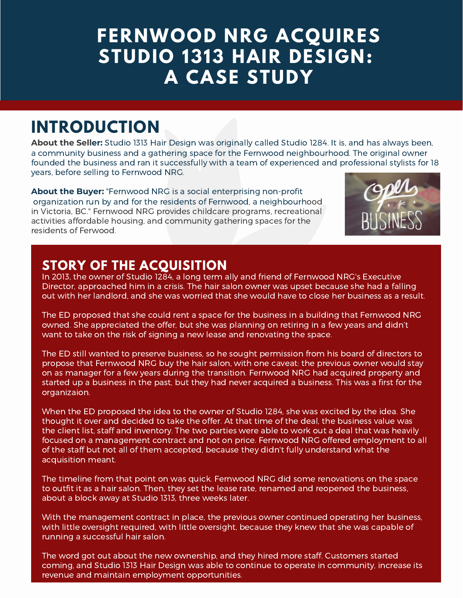# **FERNWOOD NRG ACQUIRES STUDIO 1313 HAIR DESIGN: A CASE STUDY**

# **INTRODUCTION**

**About the Seller:** Studio 1313 Hair Design was originally called Studio 1284. It is, and has always been, a community business and a gathering space for the Fernwood neighbourhood. The original owner founded the business and ran it successfully with a team of experienced and professional stylists for 18 years, before selling to Fernwood NRG.

**About the Buyer:** "Fernwood NRG is a social enterprising non-profit organization run by and for the residents of Fernwood, a neighbourhood in Victoria, BC." Fernwood NRG provides childcare programs, recreational activities affordable housing, and community gathering spaces for the residents of Ferwood.



#### **STORY OF THE ACQUISITION**

In 2013, the owner of Studio 1284, a long term ally and friend of Fernwood NRG's Executive Director, approached him in a crisis. The hair salon owner was upset because she had a falling out with her landlord, and she was worried that she would have to close her business as a result.

The ED proposed that she could rent a space for the business in a building that Fernwood NRG owned. She appreciated the offer, but she was planning on retiring in a few years and didn't want to take on the risk of signing a new lease and renovating the space.

The ED still wanted to preserve business, so he sought permission from his board of directors to propose that Fernwood NRG buy the hair salon, with one caveat: the previous owner would stay on as manager for a few years during the transition. Fernwood NRG had acquired property and started up a business in the past, but they had never acquired a business. This was a first for the organizaion.

When the ED proposed the idea to the owner of Studio 1284, she was excited by the idea. She thought it over and decided to take the offer. At that time of the deal, the business value was the client list, staff and inventory. The two parties were able to work out a deal that was heavily focused on a management contract and not on price. Fernwood NRG offered employment to all of the staff but not all of them accepted, because they didn't fully understand what the acquisition meant.

The timeline from that point on was quick. Fernwood NRG did some renovations on the space to outfit it as a hair salon. Then, they set the lease rate, renamed and reopened the business, about a block away at Studio 1313, three weeks later.

With the management contract in place, the previous owner continued operating her business, with little oversight required, with little oversight, because they knew that she was capable of running a successful hair salon.

The word got out about the new ownership, and they hired more staff. Customers started coming, and Studio 1313 Hair Design was able to continue to operate in community, increase its revenue and maintain employment opportunities.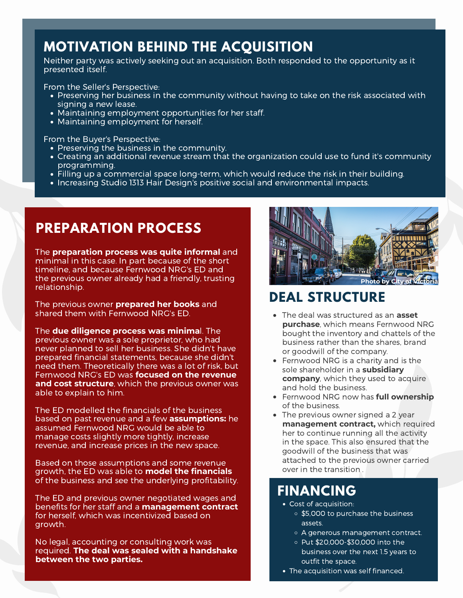## **MOTIVATION BEHIND THE ACQUISITION**

Neither party was actively seeking out an acquisition. Both responded to the opportunity as it presented itself.

From the Seller's Perspective:

- Preserving her business in the community without having to take on the risk associated with signing a new lease.
- Maintaining employment opportunities for her staff.<br>• Maintaining employment for herself.
- 

From the Buyer's Perspective:

- 
- $\bullet$  Preserving the business in the community.<br> $\bullet$  Creating an additional revenue stream that the organization could use to fund it's community programming. Filling up <sup>a</sup> commercial space long-term, which would reduce the risk in their building.
- 
- Increasing Studio 1313 Hair Design's positive social and environmental impacts.

### **PREPARATION PROCESS**

The **preparation process was quite informal** and minimal in this case. In part because of the short timeline, and because Fernwood NRG's ED and the previous owner already had a friendly, trusting relationship.

The previous owner **prepared her books** and shared them with Fernwood NRG's ED.

The **due diligence process was minima**l. The previous owner was a sole proprietor, who had never planned to sell her business. She didn't have prepared financial statements, because she didn't need them. Theoretically there was a lot of risk, but Fernwood NRG's ED was **focused on the revenue and cost structure**, which the previous owner was able to explain to him.

The ED modelled the financials of the business based on past revenue and a few **assumptions:** he assumed Fernwood NRG would be able to manage costs slightly more tightly, increase revenue, and increase prices in the new space.

Based on those assumptions and some revenue growth, the ED was able to **model the financials** of the business and see the underlying profitability.

The ED and previous owner negotiated wages and benefits for her staff and a **management contract** for herself, which was incentivized based on growth.

No legal, accounting or consulting work was required. **The deal was sealed with a handshake between the two parties.**



# **DEAL STRUCTURE**

- The deal was structured as an **asset purchase**, which means Fernwood NRG bought the inventory and chattels of the business rather than the shares, brand or goodwill of the company.
- Fernwood NRG is a charity and is the sole shareholder in a **subsidiary company**, which they used to acquire and hold the business.
- Fernwood NRG now has **full ownership** of the business.
- The previous owner signed a 2 year **management contract,** which required her to continue running all the activity in the space. This also ensured that the goodwill of the business that was attached to the previous owner carried over in the transition .

# **FINANCING**

- Cost of acquisition:
	- \$5,000 to purchase the business assets.
	- A generous management contract.
	- Put \$20,000-\$30,000 into the business over the next 1.5 years to outfit the space.
- The acquisition was self financed.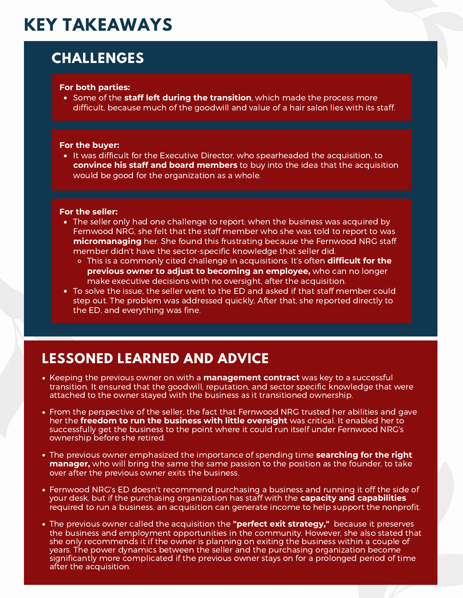# **KEY TAKEAWAYS**

# **CHALLENGES**

#### **For both parties:**

Some of the **staff left during the transition**, which made the process more difficult, because much of the goodwill and value of a hair salon lies with its staff.

#### **For the buyer:**

It was difficult for the Executive Director, who spearheaded the acquisition, to **convince his staff and board members** to buy into the idea that the acquisition would be good for the organization as a whole.

#### **For the seller:**

- The seller only had one challenge to report: when the business was acquired by Fernwood NRG, she felt that the staff member who she was told to report to was **micromanaging** her. She found this frustrating because the Fernwood NRG staff member didn't have the sector-specific knowledge that seller did.
	- This is a commonly cited challenge in acquisitions. It's often **difficult for the previous owner to adjust to becoming an employee,** who can no longer make executive decisions with no oversight, after the acquisition.
- To solve the issue, the seller went to the ED and asked if that staff member could step out. The problem was addressed quickly, After that, she reported directly to the ED, and everything was fine.

## **LESSONED LEARNED AND ADVICE**

- Keeping the previous owner on with a **management contract** was key to a successful transition. It ensured that the goodwill, reputation, and sector specific knowledge that were attached to the owner stayed with the business as it transitioned ownership.
- From the perspective of the seller, the fact that Fernwood NRG trusted her abilities and gave her the **freedom to run the business with little oversight** was critical. It enabled her to successfully get the business to the point where it could run itself under Fernwood NRG's ownership before she retired.
- The previous owner emphasized the importance of spending time **searching for the right manager,** who will bring the same the same passion to the position as the founder, to take over after the previous owner exits the business.
- Fernwood NRG's ED doesn't recommend purchasing a business and running it off the side of your desk, but if the purchasing organization has staff with the **capacity and capabilities** required to run a business, an acquisition can generate income to help support the nonprofit.
- The previous owner called the acquisition the **"perfect exit strategy,"** because it preserves the business and employment opportunities in the community. However, she also stated that she only recommends it if the owner is planning on exiting the business within a couple of years. The power dynamics between the seller and the purchasing organization become significantly more complicated if the previous owner stays on for a prolonged period of time after the acquisition.